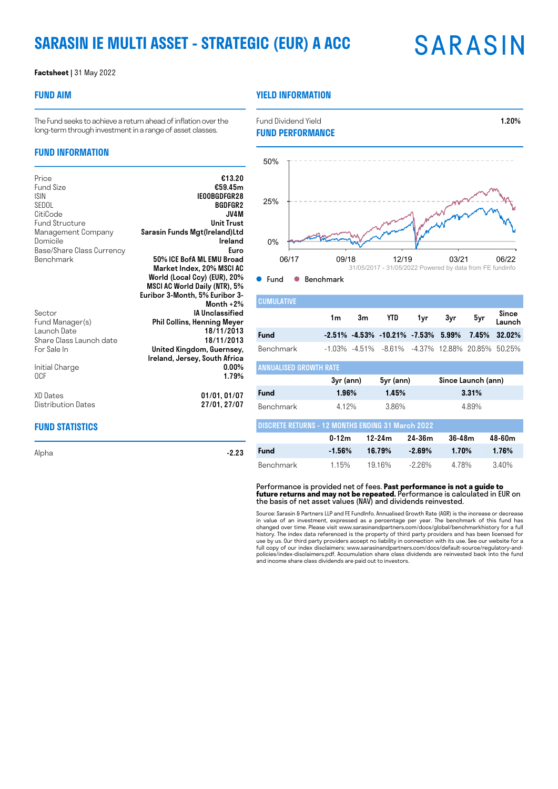# **SARASIN IE MULTI ASSET - STRATEGIC (EUR) A ACC**

# **SARASIN**

#### **Factsheet |** 31 May 2022

### **FUND AIM**

## **YIELD INFORMATION**

**FUND PERFORMANCE**

The Fund seeks to achieve a return ahead of inflation over the long-term through investment in a range of asset classes.

### **FUND INFORMATION**

| Price<br><b>Fund Size</b><br><b>ISIN</b><br>SEDOL<br>CitiCode<br><b>Fund Structure</b><br>Management Company<br>Domicile<br>Base/Share Class Currency<br>Benchmark | €13.20<br>€59.45m<br>IEOOBGDFGR28<br><b>BGDFGR2</b><br>JV4M<br><b>Unit Trust</b><br>Sarasin Funds Mgt(Ireland)Ltd<br>Ireland<br>Euro<br>50% ICE BofA ML EMU Broad<br>Market Index, 20% MSCI AC<br>World (Local Ccy) (EUR), 20%<br>MSCI AC World Daily (NTR), 5%<br>Euribor 3-Month, 5% Euribor 3-<br>Month $+2\%$ |
|--------------------------------------------------------------------------------------------------------------------------------------------------------------------|-------------------------------------------------------------------------------------------------------------------------------------------------------------------------------------------------------------------------------------------------------------------------------------------------------------------|
| Sector<br>Fund Manager(s)<br>Launch Date<br>Share Class Launch date<br>For Sale In                                                                                 | <b>IA Unclassified</b><br><b>Phil Collins, Henning Meyer</b><br>18/11/2013<br>18/11/2013<br>United Kingdom, Guernsey,                                                                                                                                                                                             |
| Initial Charge<br>0CF                                                                                                                                              | Ireland, Jersey, South Africa<br>$0.00\%$<br>1.79%                                                                                                                                                                                                                                                                |
| XD Dates<br>Distribution Dates                                                                                                                                     | 01/01, 01/07<br>27/01, 27/07                                                                                                                                                                                                                                                                                      |
| FUND STATISTICS                                                                                                                                                    |                                                                                                                                                                                                                                                                                                                   |

Alpha  $-2.23$ 



Fund Dividend Yield **1.20%** 

● Fund ● Benchmark

| <b>CUMULATIVE</b>                                        |           |    |                                                       |           |        |                    |                 |  |
|----------------------------------------------------------|-----------|----|-------------------------------------------------------|-----------|--------|--------------------|-----------------|--|
|                                                          | 1m        | 3m | YTD                                                   | 1yr       | 3yr    | 5yr                | Since<br>Launch |  |
| Fund                                                     |           |    | $-2.51\% -4.53\% -10.21\% -7.53\% -5.99\%$            |           |        | 7.45%              | 32.02%          |  |
| <b>Benchmark</b>                                         |           |    | $-1.03\%$ $-4.51\%$ $-8.61\%$ $-4.37\%$ 12.88% 20.85% |           |        |                    | 50.25%          |  |
| <b>ANNUALISED GROWTH RATE</b>                            |           |    |                                                       |           |        |                    |                 |  |
|                                                          | 3yr (ann) |    |                                                       | 5yr (ann) |        | Since Launch (ann) |                 |  |
|                                                          |           |    |                                                       |           |        |                    |                 |  |
| Fund                                                     | 1.96%     |    | 1.45%                                                 |           |        | 3.31%              |                 |  |
| Benchmark                                                | 4.12%     |    | 3.86%                                                 |           |        | 4.89%              |                 |  |
| <b>DISCRETE RETURNS - 12 MONTHS ENDING 31 March 2022</b> |           |    |                                                       |           |        |                    |                 |  |
|                                                          | $0 - 12m$ |    | $12 - 24m$                                            | 24-36m    | 36-48m |                    | 48-60m          |  |

Benchmark 1.15% 19.16% -2.26% 4.78% 3.40%

Performance is provided net of fees. **Past performance is not a guide to future returns and may not be repeated.** Performance is calculated in EUR on the basis of net asset values (NAV) and dividends reinvested.

Source: Sarasin & Partners LLP and FE FundInfo. Annualised Growth Rate (AGR) is the increase or decrease in value of an investment, expressed as a percentage per year. The benchmark of this fund has changed over time. Please visit www.sarasinandpartners.com/docs/global/benchmarkhistory for a full history. The index data referenced is the property of third party providers and has been licensed for use by us. Our third party providers accept no liability in connection with its use. See our website for a full copy of our index disclaimers: www.sarasinandpartners.com/docs/default-source/regulatory-andpolicies/index-disclaimers.pdf. Accumulation share class dividends are reinvested back into the fund and income share class dividends are paid out to investors.